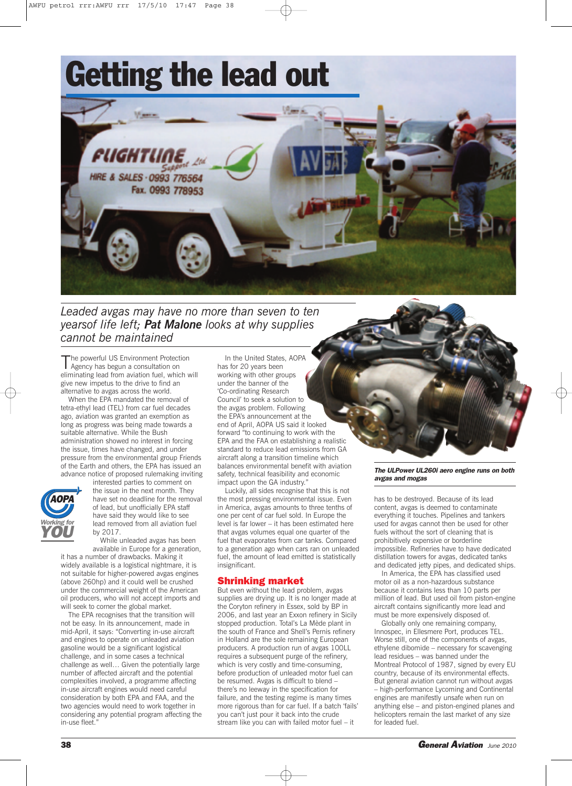# **Getting the lead out**



*Leaded avgas may have no more than seven to ten yearsof life left; Pat Malone looks at why supplies cannot be maintained*

The powerful US Environment Protection<br>Agency has begun a consultation on eliminating lead from aviation fuel, which will give new impetus to the drive to find an alternative to avgas across the world.

When the EPA mandated the removal of tetra-ethyl lead (TEL) from car fuel decades ago, aviation was granted an exemption as long as progress was being made towards a suitable alternative. While the Bush administration showed no interest in forcing the issue, times have changed, and under pressure from the environmental group Friends of the Earth and others, the EPA has issued an advance notice of proposed rulemaking inviting



interested parties to comment on the issue in the next month. They have set no deadline for the removal of lead, but unofficially EPA staff have said they would like to see lead removed from all aviation fuel by 2017.

While unleaded avgas has been available in Europe for a generation,

it has a number of drawbacks. Making it widely available is a logistical nightmare, it is not suitable for higher-powered avgas engines (above 260hp) and it could well be crushed under the commercial weight of the American oil producers, who will not accept imports and will seek to corner the global market.

The EPA recognises that the transition will not be easy. In its announcement, made in mid-April, it says: "Converting in-use aircraft and engines to operate on unleaded aviation gasoline would be a significant logistical challenge, and in some cases a technical challenge as well… Given the potentially large number of affected aircraft and the potential complexities involved, a programme affecting in-use aircraft engines would need careful consideration by both EPA and FAA, and the two agencies would need to work together in considering any potential program affecting the in-use fleet.

In the United States, AOPA has for 20 years been working with other groups under the banner of the 'Co-ordinating Research Council' to seek a solution to the avgas problem. Following the EPA's announcement at the end of April, AOPA US said it looked forward "to continuing to work with the EPA and the FAA on establishing a realistic standard to reduce lead emissions from GA aircraft along a transition timeline which balances environmental benefit with aviation safety, technical feasibility and economic impact upon the GA industry."

Luckily, all sides recognise that this is not the most pressing environmental issue. Even in America, avgas amounts to three tenths of one per cent of car fuel sold. In Europe the level is far lower – it has been estimated here that avgas volumes equal one quarter of the fuel that evaporates from car tanks. Compared to a generation ago when cars ran on unleaded fuel, the amount of lead emitted is statistically insignificant.

### **Shrinking market**

But even without the lead problem, avgas supplies are drying up. It is no longer made at the Coryton refinery in Essex, sold by BP in 2006, and last year an Exxon refinery in Sicily stopped production. Total's La Mède plant in the south of France and Shell's Pernis refinery in Holland are the sole remaining European producers. A production run of avgas 100LL requires a subsequent purge of the refinery, which is very costly and time-consuming, before production of unleaded motor fuel can be resumed. Avgas is difficult to blend – there's no leeway in the specification for failure, and the testing regime is many times more rigorous than for car fuel. If a batch 'fails' you can't just pour it back into the crude stream like you can with failed motor fuel – it

#### *The ULPower UL260i aero engine runs on both avgas and mogas*

has to be destroyed. Because of its lead content, avgas is deemed to contaminate everything it touches. Pipelines and tankers used for avgas cannot then be used for other fuels without the sort of cleaning that is prohibitively expensive or borderline impossible. Refineries have to have dedicated distillation towers for avgas, dedicated tanks and dedicated jetty pipes, and dedicated ships.

In America, the EPA has classified used motor oil as a non-hazardous substance because it contains less than 10 parts per million of lead. But used oil from piston-engine aircraft contains significantly more lead and must be more expensively disposed of.

Globally only one remaining company, Innospec, in Ellesmere Port, produces TEL. Worse still, one of the components of avgas, ethylene dibomide – necessary for scavenging lead residues – was banned under the Montreal Protocol of 1987, signed by every EU country, because of its environmental effects. But general aviation cannot run without avgas – high-performance Lycoming and Continental engines are manifestly unsafe when run on anything else – and piston-engined planes and helicopters remain the last market of any size for leaded fuel.